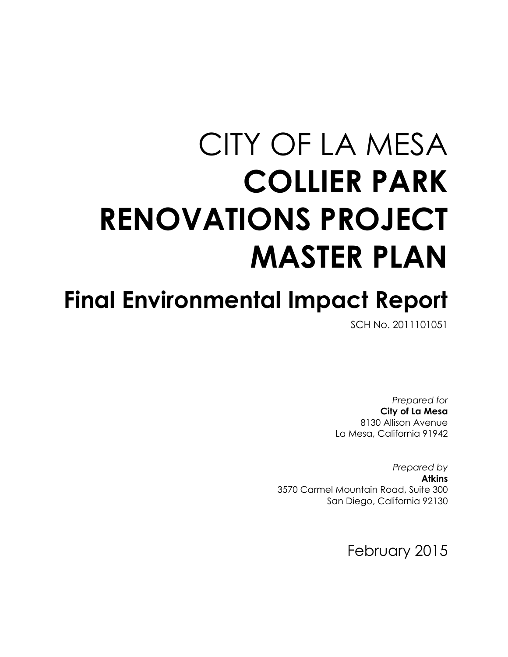# CITY OF LA MESA **COLLIER PARK RENOVATIONS PROJECT MASTER PLAN**

## **Final Environmental Impact Report**

SCH No. 2011101051

*Prepared for* **City of La Mesa** 8130 Allison Avenue La Mesa, California 91942

*Prepared by* **Atkins** 3570 Carmel Mountain Road, Suite 300 San Diego, California 92130

February 2015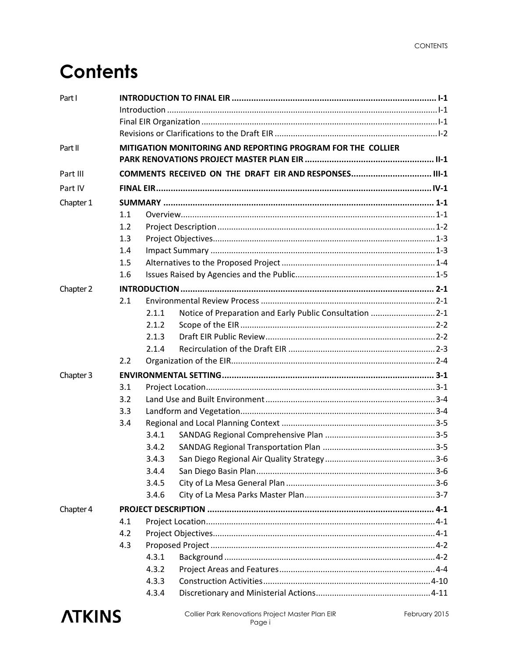### **Contents**

| Part I    |                                                             |                                                        |                                                          |  |  |
|-----------|-------------------------------------------------------------|--------------------------------------------------------|----------------------------------------------------------|--|--|
|           |                                                             |                                                        |                                                          |  |  |
|           |                                                             |                                                        |                                                          |  |  |
|           |                                                             |                                                        |                                                          |  |  |
| Part II   | MITIGATION MONITORING AND REPORTING PROGRAM FOR THE COLLIER |                                                        |                                                          |  |  |
| Part III  |                                                             | COMMENTS RECEIVED ON THE DRAFT EIR AND RESPONSES III-1 |                                                          |  |  |
| Part IV   |                                                             |                                                        |                                                          |  |  |
| Chapter 1 |                                                             |                                                        |                                                          |  |  |
|           | 1.1                                                         |                                                        |                                                          |  |  |
|           | 1.2                                                         |                                                        |                                                          |  |  |
|           | 1.3                                                         |                                                        |                                                          |  |  |
|           | 1.4                                                         |                                                        |                                                          |  |  |
|           | 1.5                                                         |                                                        |                                                          |  |  |
|           | 1.6                                                         |                                                        |                                                          |  |  |
| Chapter 2 |                                                             |                                                        |                                                          |  |  |
|           | 2.1                                                         |                                                        |                                                          |  |  |
|           |                                                             | 2.1.1                                                  | Notice of Preparation and Early Public Consultation  2-1 |  |  |
|           |                                                             | 2.1.2                                                  |                                                          |  |  |
|           |                                                             | 2.1.3                                                  |                                                          |  |  |
|           |                                                             | 2.1.4                                                  |                                                          |  |  |
|           | 2.2                                                         |                                                        |                                                          |  |  |
| Chapter 3 |                                                             |                                                        |                                                          |  |  |
|           | 3.1                                                         |                                                        |                                                          |  |  |
|           | 3.2                                                         |                                                        |                                                          |  |  |
|           | 3.3                                                         |                                                        |                                                          |  |  |
|           | 3.4                                                         |                                                        |                                                          |  |  |
|           |                                                             | 3.4.1                                                  |                                                          |  |  |
|           |                                                             | 3.4.2                                                  |                                                          |  |  |
|           |                                                             | 3.4.3                                                  |                                                          |  |  |
|           |                                                             | 3.4.4                                                  |                                                          |  |  |
|           |                                                             | 3.4.5                                                  |                                                          |  |  |
|           |                                                             | 3.4.6                                                  |                                                          |  |  |
| Chapter 4 |                                                             |                                                        |                                                          |  |  |
|           | 4.1                                                         |                                                        |                                                          |  |  |
|           | 4.2                                                         |                                                        |                                                          |  |  |
|           | 4.3                                                         |                                                        |                                                          |  |  |
|           |                                                             | 4.3.1                                                  |                                                          |  |  |
|           |                                                             | 4.3.2                                                  |                                                          |  |  |
|           |                                                             | 4.3.3                                                  |                                                          |  |  |
|           |                                                             | 4.3.4                                                  |                                                          |  |  |

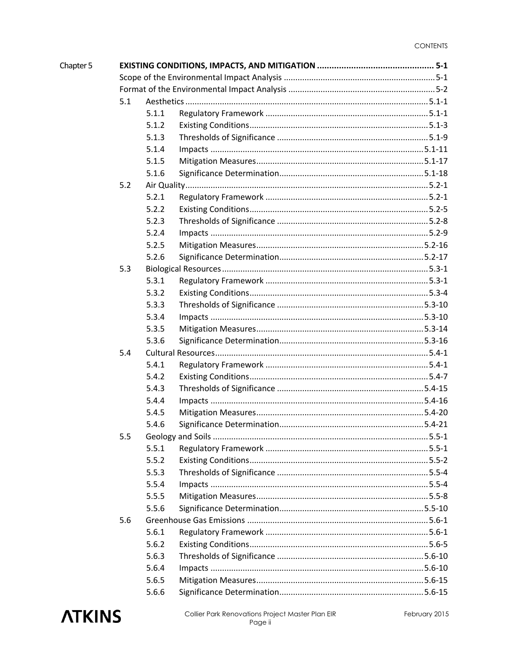| Chapter 5 |     |       |  |  |  |
|-----------|-----|-------|--|--|--|
|           |     |       |  |  |  |
|           |     |       |  |  |  |
|           | 5.1 |       |  |  |  |
|           |     | 5.1.1 |  |  |  |
|           |     | 5.1.2 |  |  |  |
|           |     | 5.1.3 |  |  |  |
|           |     | 5.1.4 |  |  |  |
|           |     | 5.1.5 |  |  |  |
|           |     | 5.1.6 |  |  |  |
|           | 5.2 |       |  |  |  |
|           |     | 5.2.1 |  |  |  |
|           |     | 5.2.2 |  |  |  |
|           |     | 5.2.3 |  |  |  |
|           |     | 5.2.4 |  |  |  |
|           |     | 5.2.5 |  |  |  |
|           |     | 5.2.6 |  |  |  |
|           | 5.3 |       |  |  |  |
|           |     | 5.3.1 |  |  |  |
|           |     | 5.3.2 |  |  |  |
|           |     | 5.3.3 |  |  |  |
|           |     | 5.3.4 |  |  |  |
|           |     | 5.3.5 |  |  |  |
|           |     | 5.3.6 |  |  |  |
|           | 5.4 |       |  |  |  |
|           |     | 5.4.1 |  |  |  |
|           |     | 5.4.2 |  |  |  |
|           |     | 5.4.3 |  |  |  |
|           |     | 5.4.4 |  |  |  |
|           |     | 5.4.5 |  |  |  |
|           |     | 5.4.6 |  |  |  |
|           | 5.5 |       |  |  |  |
|           |     | 5.5.1 |  |  |  |
|           |     | 5.5.2 |  |  |  |
|           |     | 5.5.3 |  |  |  |
|           |     | 5.5.4 |  |  |  |
|           |     | 5.5.5 |  |  |  |
|           |     | 5.5.6 |  |  |  |
|           | 5.6 |       |  |  |  |
|           |     | 5.6.1 |  |  |  |
|           |     | 5.6.2 |  |  |  |
|           |     | 5.6.3 |  |  |  |
|           |     | 5.6.4 |  |  |  |
|           |     | 5.6.5 |  |  |  |
|           |     | 5.6.6 |  |  |  |

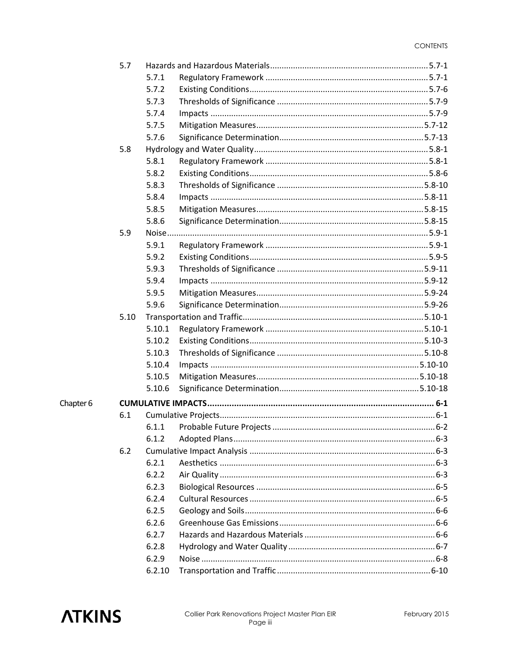|           | 5.7  |        |  |  |  |
|-----------|------|--------|--|--|--|
|           |      | 5.7.1  |  |  |  |
|           |      | 5.7.2  |  |  |  |
|           |      | 5.7.3  |  |  |  |
|           |      | 5.7.4  |  |  |  |
|           |      | 5.7.5  |  |  |  |
|           |      | 5.7.6  |  |  |  |
|           | 5.8  |        |  |  |  |
|           |      | 5.8.1  |  |  |  |
|           |      | 5.8.2  |  |  |  |
|           |      | 5.8.3  |  |  |  |
|           |      | 5.8.4  |  |  |  |
|           |      | 5.8.5  |  |  |  |
|           |      | 5.8.6  |  |  |  |
|           | 5.9  |        |  |  |  |
|           |      | 5.9.1  |  |  |  |
|           |      | 5.9.2  |  |  |  |
|           |      | 5.9.3  |  |  |  |
|           |      | 5.9.4  |  |  |  |
|           |      | 5.9.5  |  |  |  |
|           |      | 5.9.6  |  |  |  |
|           | 5.10 |        |  |  |  |
|           |      | 5.10.1 |  |  |  |
|           |      | 5.10.2 |  |  |  |
|           |      | 5.10.3 |  |  |  |
|           |      | 5.10.4 |  |  |  |
|           |      | 5.10.5 |  |  |  |
|           |      | 5.10.6 |  |  |  |
| Chapter 6 |      |        |  |  |  |
|           | 6.1  |        |  |  |  |
|           |      | 6.1.1  |  |  |  |
|           |      | 6.1.2  |  |  |  |
|           | 6.2  |        |  |  |  |
|           |      | 6.2.1  |  |  |  |
|           |      | 6.2.2  |  |  |  |
|           |      | 6.2.3  |  |  |  |
|           |      | 6.2.4  |  |  |  |
|           |      | 6.2.5  |  |  |  |
|           |      | 6.2.6  |  |  |  |
|           |      | 6.2.7  |  |  |  |
|           |      | 6.2.8  |  |  |  |
|           |      | 6.2.9  |  |  |  |
|           |      | 6.2.10 |  |  |  |

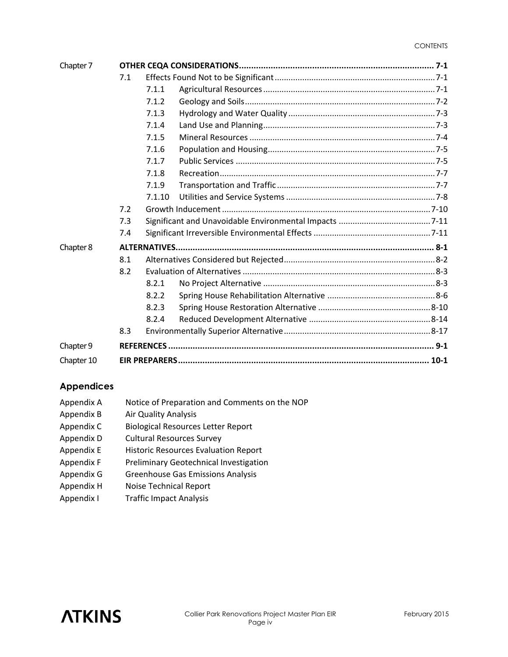| Chapter 7  |     |        |  |  |
|------------|-----|--------|--|--|
|            | 7.1 |        |  |  |
|            |     | 7.1.1  |  |  |
|            |     | 7.1.2  |  |  |
|            |     | 7.1.3  |  |  |
|            |     | 7.1.4  |  |  |
|            |     | 7.1.5  |  |  |
|            |     | 7.1.6  |  |  |
|            |     | 7.1.7  |  |  |
|            |     | 7.1.8  |  |  |
|            |     | 7.1.9  |  |  |
|            |     | 7.1.10 |  |  |
|            | 7.2 |        |  |  |
|            | 7.3 |        |  |  |
|            | 7.4 |        |  |  |
| Chapter 8  |     |        |  |  |
|            | 8.1 |        |  |  |
|            | 8.2 |        |  |  |
|            |     | 8.2.1  |  |  |
|            |     | 8.2.2  |  |  |
|            |     | 8.2.3  |  |  |
|            |     | 8.2.4  |  |  |
|            | 8.3 |        |  |  |
| Chapter 9  |     |        |  |  |
| Chapter 10 |     |        |  |  |

#### **Appendices**

| Appendix A | Notice of Preparation and Comments on the NOP |
|------------|-----------------------------------------------|
| Appendix B | <b>Air Quality Analysis</b>                   |
| Appendix C | <b>Biological Resources Letter Report</b>     |
| Appendix D | <b>Cultural Resources Survey</b>              |
| Appendix E | <b>Historic Resources Evaluation Report</b>   |
| Appendix F | Preliminary Geotechnical Investigation        |
| Appendix G | <b>Greenhouse Gas Emissions Analysis</b>      |
| Appendix H | Noise Technical Report                        |
| Appendix I | <b>Traffic Impact Analysis</b>                |

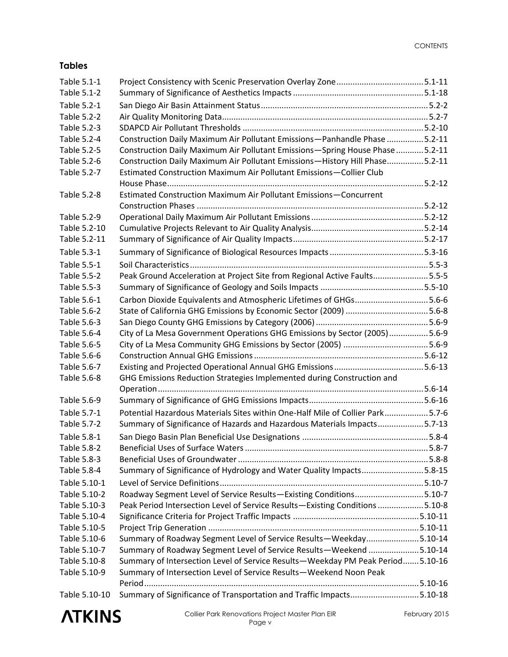#### **Tables**

| Table 5.1-1        |                                                                                |  |
|--------------------|--------------------------------------------------------------------------------|--|
| Table 5.1-2        |                                                                                |  |
| Table 5.2-1        |                                                                                |  |
| Table 5.2-2        |                                                                                |  |
| Table 5.2-3        |                                                                                |  |
| Table 5.2-4        | Construction Daily Maximum Air Pollutant Emissions-Panhandle Phase 5.2-11      |  |
| Table 5.2-5        | Construction Daily Maximum Air Pollutant Emissions-Spring House Phase 5.2-11   |  |
| Table 5.2-6        | Construction Daily Maximum Air Pollutant Emissions-History Hill Phase5.2-11    |  |
| Table 5.2-7        | Estimated Construction Maximum Air Pollutant Emissions-Collier Club            |  |
|                    |                                                                                |  |
| Table 5.2-8        | Estimated Construction Maximum Air Pollutant Emissions-Concurrent              |  |
| Table 5.2-9        |                                                                                |  |
| Table 5.2-10       |                                                                                |  |
| Table 5.2-11       |                                                                                |  |
| Table 5.3-1        |                                                                                |  |
| Table 5.5-1        |                                                                                |  |
| Table 5.5-2        | Peak Ground Acceleration at Project Site from Regional Active Faults5.5-5      |  |
| Table 5.5-3        |                                                                                |  |
| Table 5.6-1        | Carbon Dioxide Equivalents and Atmospheric Lifetimes of GHGs5.6-6              |  |
| Table 5.6-2        |                                                                                |  |
| Table 5.6-3        |                                                                                |  |
| Table 5.6-4        | City of La Mesa Government Operations GHG Emissions by Sector (2005)5.6-9      |  |
| Table 5.6-5        |                                                                                |  |
| Table 5.6-6        |                                                                                |  |
| Table 5.6-7        |                                                                                |  |
| Table 5.6-8        | GHG Emissions Reduction Strategies Implemented during Construction and         |  |
|                    |                                                                                |  |
| Table 5.6-9        |                                                                                |  |
| Table 5.7-1        | Potential Hazardous Materials Sites within One-Half Mile of Collier Park5.7-6  |  |
| Table 5.7-2        | Summary of Significance of Hazards and Hazardous Materials Impacts5.7-13       |  |
| Table 5.8-1        |                                                                                |  |
| <b>Table 5.8-2</b> |                                                                                |  |
| Table 5.8-3        |                                                                                |  |
| Table 5.8-4        | Summary of Significance of Hydrology and Water Quality Impacts5.8-15           |  |
| Table 5.10-1       |                                                                                |  |
| Table 5.10-2       | Roadway Segment Level of Service Results-Existing Conditions5.10-7             |  |
| Table 5.10-3       | Peak Period Intersection Level of Service Results-Existing Conditions 5.10-8   |  |
| Table 5.10-4       |                                                                                |  |
| Table 5.10-5       |                                                                                |  |
| Table 5.10-6       | Summary of Roadway Segment Level of Service Results-Weekday5.10-14             |  |
| Table 5.10-7       | Summary of Roadway Segment Level of Service Results-Weekend 5.10-14            |  |
| Table 5.10-8       | Summary of Intersection Level of Service Results-Weekday PM Peak Period5.10-16 |  |
| Table 5.10-9       | Summary of Intersection Level of Service Results-Weekend Noon Peak             |  |
|                    |                                                                                |  |
| Table 5.10-10      | Summary of Significance of Transportation and Traffic Impacts5.10-18           |  |